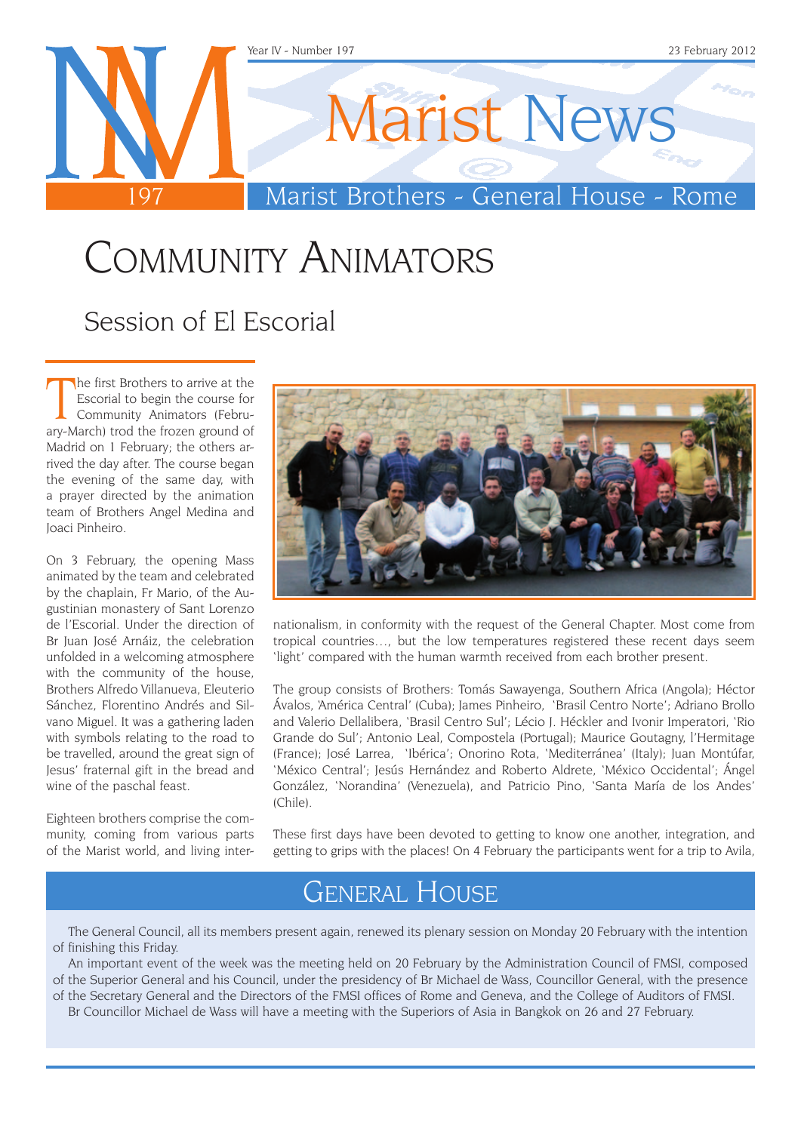

# Community Animators

### Session of El Escorial

The first Brothers to arrive at the Escorial to begin the course for Community Animators (February-March) trod the frozen ground of he first Brothers to arrive at the Escorial to begin the course for Community Animators (Febru-Madrid on 1 February; the others arrived the day after. The course began the evening of the same day, with a prayer directed by the animation team of Brothers Angel Medina and Joaci Pinheiro.

On 3 February, the opening Mass animated by the team and celebrated by the chaplain, Fr Mario, of the Augustinian monastery of Sant Lorenzo de l'Escorial. Under the direction of Br Juan José Arnáiz, the celebration unfolded in a welcoming atmosphere with the community of the house, Brothers Alfredo Villanueva, Eleuterio Sánchez, Florentino Andrés and Silvano Miguel. It was a gathering laden with symbols relating to the road to be travelled, around the great sign of Jesus' fraternal gift in the bread and wine of the paschal feast.

Eighteen brothers comprise the community, coming from various parts of the Marist world, and living inter-



nationalism, in conformity with the request of the General Chapter. Most come from tropical countries…, but the low temperatures registered these recent days seem 'light' compared with the human warmth received from each brother present.

The group consists of Brothers: Tomás Sawayenga, Southern Africa (Angola); Héctor Ávalos, 'América Central' (Cuba); James Pinheiro, 'Brasil Centro Norte'; Adriano Brollo and Valerio Dellalibera, 'Brasil Centro Sul'; Lécio J. Héckler and Ivonir Imperatori, 'Rio Grande do Sul'; Antonio Leal, Compostela (Portugal); Maurice Goutagny, l'Hermitage (France); José Larrea, 'Ibérica'; Onorino Rota, 'Mediterránea' (Italy); Juan Montúfar, 'México Central'; Jesús Hernández and Roberto Aldrete, 'México Occidental'; Ángel González, 'Norandina' (Venezuela), and Patricio Pino, 'Santa María de los Andes' (Chile).

These first days have been devoted to getting to know one another, integration, and getting to grips with the places! On 4 February the participants went for a trip to Avila,

## General House

The General Council, all its members present again, renewed its plenary session on Monday 20 February with the intention of finishing this Friday.

An important event of the week was the meeting held on 20 February by the Administration Council of FMSI, composed of the Superior General and his Council, under the presidency of Br Michael de Wass, Councillor General, with the presence of the Secretary General and the Directors of the FMSI offices of Rome and Geneva, and the College of Auditors of FMSI.

Br Councillor Michael de Wass will have a meeting with the Superiors of Asia in Bangkok on 26 and 27 February.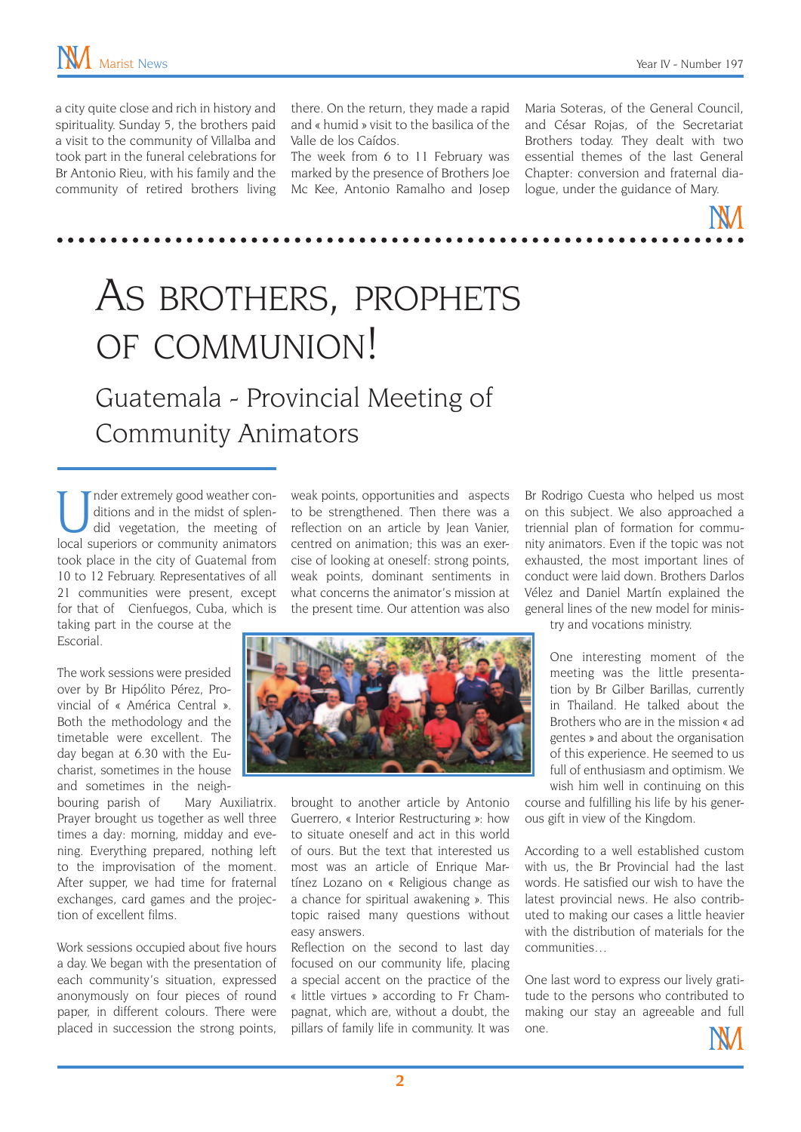a city quite close and rich in history and spirituality. Sunday 5, the brothers paid a visit to the community of Villalba and took part in the funeral celebrations for Br Antonio Rieu, with his family and the community of retired brothers living there. On the return, they made a rapid and « humid » visit to the basilica of the Valle de los Caídos.

The week from 6 to 11 February was marked by the presence of Brothers Joe Mc Kee, Antonio Ramalho and Josep

Maria Soteras, of the General Council, and César Rojas, of the Secretariat Brothers today. They dealt with two essential themes of the last General Chapter: conversion and fraternal dialogue, under the guidance of Mary.

# As brothers, prophets OF COMMUNION!

## Guatemala - Provincial Meeting of Community Animators

I nder extremely good weather con-<br>didions and in the midst of splen-<br>local superiors or community animators ditions and in the midst of splendid vegetation, the meeting of local superiors or community animators took place in the city of Guatemal from 10 to 12 February. Representatives of all 21 communities were present, except for that of Cienfuegos, Cuba, which is

taking part in the course at the Escorial.

The work sessions were presided over by Br Hipólito Pérez, Provincial of « América Central ». Both the methodology and the timetable were excellent. The day began at 6.30 with the Eucharist, sometimes in the house and sometimes in the neigh-

bouring parish of Mary Auxiliatrix. Prayer brought us together as well three times a day: morning, midday and evening. Everything prepared, nothing left to the improvisation of the moment. After supper, we had time for fraternal exchanges, card games and the projection of excellent films.

Work sessions occupied about five hours a day. We began with the presentation of each community's situation, expressed anonymously on four pieces of round paper, in different colours. There were placed in succession the strong points,

weak points, opportunities and aspects to be strengthened. Then there was a reflection on an article by Jean Vanier, centred on animation; this was an exercise of looking at oneself: strong points, weak points, dominant sentiments in what concerns the animator's mission at the present time. Our attention was also



brought to another article by Antonio Guerrero, « Interior Restructuring »: how to situate oneself and act in this world of ours. But the text that interested us most was an article of Enrique Martínez Lozano on « Religious change as a chance for spiritual awakening ». This topic raised many questions without easy answers.

Reflection on the second to last day focused on our community life, placing a special accent on the practice of the « little virtues » according to Fr Champagnat, which are, without a doubt, the pillars of family life in community. It was

Br Rodrigo Cuesta who helped us most on this subject. We also approached a triennial plan of formation for community animators. Even if the topic was not exhausted, the most important lines of conduct were laid down. Brothers Darlos Vélez and Daniel Martín explained the general lines of the new model for minis-

try and vocations ministry.

One interesting moment of the meeting was the little presentation by Br Gilber Barillas, currently in Thailand. He talked about the Brothers who are in the mission « ad gentes » and about the organisation of this experience. He seemed to us full of enthusiasm and optimism. We wish him well in continuing on this

course and fulfilling his life by his generous gift in view of the Kingdom.

According to a well established custom with us, the Br Provincial had the last words. He satisfied our wish to have the latest provincial news. He also contributed to making our cases a little heavier with the distribution of materials for the communities…

One last word to express our lively gratitude to the persons who contributed to making our stay an agreeable and full one.

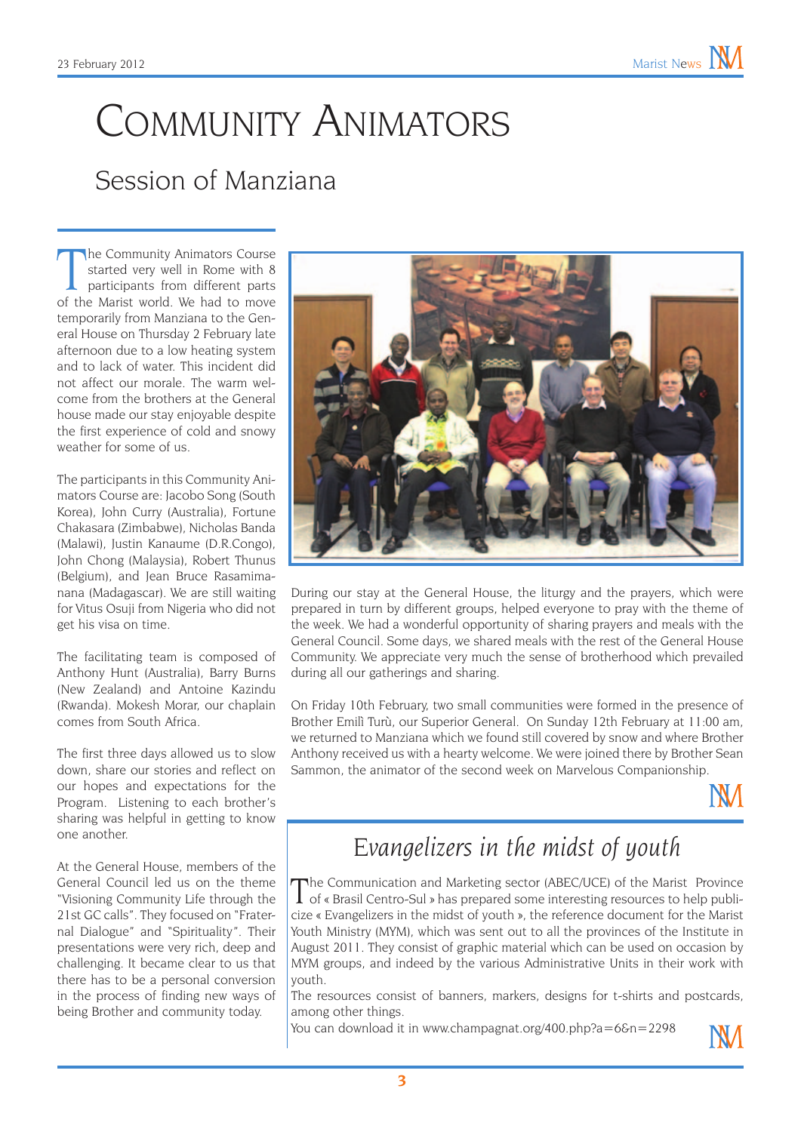# Community Animators

#### Session of Manziana

The Community Animators Course<br>started very well in Rome with 8<br>participants from different parts<br>of the Marist world. We had to move he Community Animators Course started very well in Rome with 8 participants from different parts temporarily from Manziana to the General House on Thursday 2 February late afternoon due to a low heating system and to lack of water. This incident did not affect our morale. The warm welcome from the brothers at the General house made our stay enjoyable despite the first experience of cold and snowy weather for some of us.

The participants in this Community Animators Course are: Jacobo Song (South Korea), John Curry (Australia), Fortune Chakasara (Zimbabwe), Nicholas Banda (Malawi), Justin Kanaume (D.R.Congo), John Chong (Malaysia), Robert Thunus (Belgium), and Jean Bruce Rasamimanana (Madagascar). We are still waiting for Vitus Osuji from Nigeria who did not get his visa on time.

The facilitating team is composed of Anthony Hunt (Australia), Barry Burns (New Zealand) and Antoine Kazindu (Rwanda). Mokesh Morar, our chaplain comes from South Africa.

The first three days allowed us to slow down, share our stories and reflect on our hopes and expectations for the Program. Listening to each brother's sharing was helpful in getting to know one another.

At the General House, members of the General Council led us on the theme "Visioning Community Life through the 21st GC calls". They focused on "Fraternal Dialogue" and "Spirituality". Their presentations were very rich, deep and challenging. It became clear to us that there has to be a personal conversion in the process of finding new ways of being Brother and community today.



During our stay at the General House, the liturgy and the prayers, which were prepared in turn by different groups, helped everyone to pray with the theme of the week. We had a wonderful opportunity of sharing prayers and meals with the General Council. Some days, we shared meals with the rest of the General House Community. We appreciate very much the sense of brotherhood which prevailed during all our gatherings and sharing.

On Friday 10th February, two small communities were formed in the presence of Brother Emilì Turù, our Superior General. On Sunday 12th February at 11:00 am, we returned to Manziana which we found still covered by snow and where Brother Anthony received us with a hearty welcome. We were joined there by Brother Sean Sammon, the animator of the second week on Marvelous Companionship.

**NV** 

## *Evangelizers in the midst of youth*

The Communication and Marketing sector (ABEC/UCE) of the Marist Province of « Brasil Centro-Sul » has prepared some interesting resources to help publicize « Evangelizers in the midst of youth », the reference document for the Marist Youth Ministry (MYM), which was sent out to all the provinces of the Institute in August 2011. They consist of graphic material which can be used on occasion by MYM groups, and indeed by the various Administrative Units in their work with youth.

The resources consist of banners, markers, designs for t-shirts and postcards, among other things.

You can download it in www.champagnat.org/400.php?a=6&n=2298